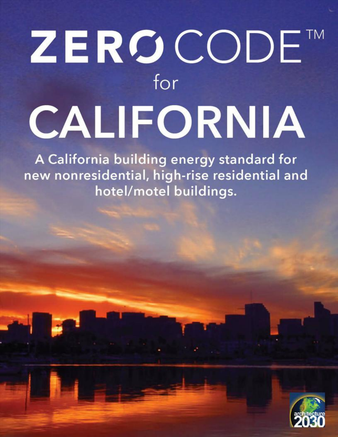# ZEROCODET for CALIFORNIA

A California building energy standard for new nonresidential, high-rise residential and hotel/motel buildings.

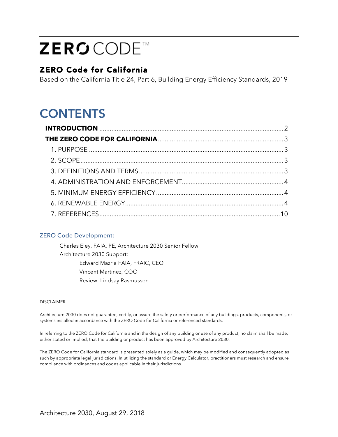# ZERSCODE<sup>™</sup>

## ZERO Code for California

Based on the California Title 24, Part 6, Building Energy Efficiency Standards, 2019

# **CONTENTS**

#### ZERO Code Development:

Charles Eley, FAIA, PE, Architecture 2030 Senior Fellow Architecture 2030 Support: Edward Mazria FAIA, FRAIC, CEO Vincent Martinez, COO Review: Lindsay Rasmussen

#### DISCLAIMER

Architecture 2030 does not guarantee, certify, or assure the safety or performance of any buildings, products, components, or systems installed in accordance with the ZERO Code for California or referenced standards.

In referring to the ZERO Code for California and in the design of any building or use of any product, no claim shall be made, either stated or implied, that the building or product has been approved by Architecture 2030.

The ZERO Code for California standard is presented solely as a guide, which may be modified and consequently adopted as such by appropriate legal jurisdictions. In utilizing the standard or Energy Calculator, practitioners must research and ensure compliance with ordinances and codes applicable in their jurisdictions.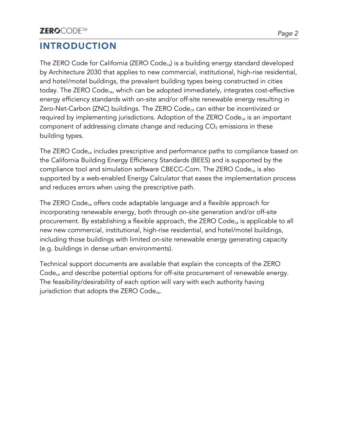# **INTRODUCTION**

The ZERO Code for California (ZERO Codeca) is a building energy standard developed by Architecture 2030 that applies to new commercial, institutional, high-rise residential, and hotel/motel buildings, the prevalent building types being constructed in cities today. The ZERO Code<sub>ca</sub>, which can be adopted immediately, integrates cost-effective energy efficiency standards with on-site and/or off-site renewable energy resulting in Zero-Net-Carbon (ZNC) buildings. The ZERO Code<sub>ca</sub> can either be incentivized or required by implementing jurisdictions. Adoption of the ZERO Codeca is an important component of addressing climate change and reducing  $CO<sub>2</sub>$  emissions in these building types.

The ZERO Code<sub>ca</sub> includes prescriptive and performance paths to compliance based on the California Building Energy Efficiency Standards (BEES) and is supported by the compliance tool and simulation software CBECC-Com. The ZERO Codeca is also supported by a web-enabled Energy Calculator that eases the implementation process and reduces errors when using the prescriptive path.

The ZERO Code<sub>ca</sub> offers code adaptable language and a flexible approach for incorporating renewable energy, both through on-site generation and/or off-site procurement. By establishing a flexible approach, the ZERO Code<sub>ca</sub> is applicable to all new new commercial, institutional, high-rise residential, and hotel/motel buildings, including those buildings with limited on-site renewable energy generating capacity (e.g. buildings in dense urban environments).

Technical support documents are available that explain the concepts of the ZERO Code<sub>ca</sub> and describe potential options for off-site procurement of renewable energy. The feasibility/desirability of each option will vary with each authority having jurisdiction that adopts the ZERO Code<sub>ca</sub>.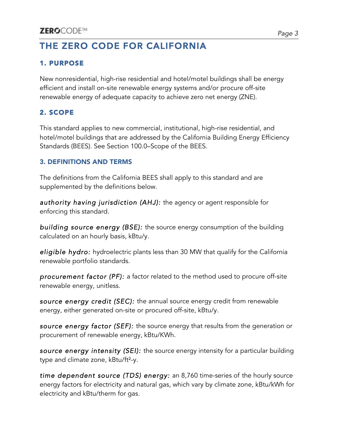# **THE ZERO CODE FOR CALIFORNIA**

#### 1. PURPOSE

New nonresidential, high-rise residential and hotel/motel buildings shall be energy efficient and install on-site renewable energy systems and/or procure off-site renewable energy of adequate capacity to achieve zero net energy (ZNE).

#### 2. SCOPE

This standard applies to new commercial, institutional, high-rise residential, and hotel/motel buildings that are addressed by the California Building Energy Efficiency Standards (BEES). See Section 100.0–Scope of the BEES.

#### 3. DEFINITIONS AND TERMS

The definitions from the California BEES shall apply to this standard and are supplemented by the definitions below.

*authority having jurisdiction (AHJ):* the agency or agent responsible for enforcing this standard.

*building source energy (BSE):* the source energy consumption of the building calculated on an hourly basis, kBtu/y.

*eligible hydro:* hydroelectric plants less than 30 MW that qualify for the California renewable portfolio standards.

*procurement factor (PF):* a factor related to the method used to procure off-site renewable energy, unitless.

*source energy credit (SEC):* the annual source energy credit from renewable energy, either generated on-site or procured off-site, kBtu/y.

*source energy factor (SEF):* the source energy that results from the generation or procurement of renewable energy, kBtu/KWh.

*source energy intensity (SEI):* the source energy intensity for a particular building type and climate zone, kBtu/ft<sup>2</sup>-y.

*time dependent source (TDS) energy:* an 8,760 time-series ofthe hourly source energy factors for electricity and natural gas, which vary by climate zone, kBtu/kWh for electricity and kBtu/therm for gas.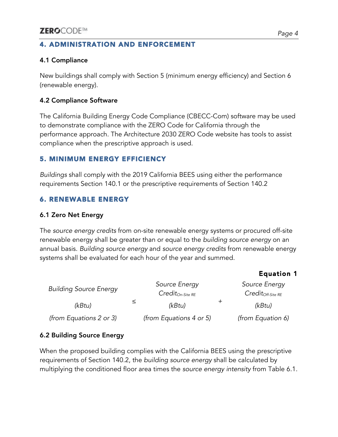#### 4. ADMINISTRATION AND ENFORCEMENT

#### 4.1 Compliance

New buildings shall comply with Section 5 (minimum energy efficiency) and Section 6 (renewable energy).

#### 4.2 Compliance Software

The California Building Energy Code Compliance (CBECC-Com) software may be used to demonstrate compliance with the ZERO Code for California through the performance approach. The Architecture 2030 ZERO Code website has tools to assist compliance when the prescriptive approach is used.

#### 5. MINIMUM ENERGY EFFICIENCY

*Buildings* shall comply with the 2019 California BEES using either the performance requirements Section 140.1 or the prescriptive requirements of Section 140.2

#### 6. RENEWABLE ENERGY

#### 6.1 Zero Net Energy

The *source energy credits* from on-site renewable energy systems or procured off-site renewable energy shall be greater than or equal to the *building source energy* on an annual basis. *Building source energy* and *source energy credits* from renewable energy systems shall be evaluated for each hour of the year and summed.

|                               |               |                         |  | <b>Equation 1</b>      |
|-------------------------------|---------------|-------------------------|--|------------------------|
| <b>Building Source Energy</b> | Source Energy |                         |  | Source Energy          |
|                               |               | $Credit_{On-Site RE}$   |  | $Credit_{Off-Site RE}$ |
| (kBtu)                        | ≤             | (kBtu)                  |  | (kBtu)                 |
| (from Equations 2 or 3)       |               | (from Equations 4 or 5) |  | (from Equation 6)      |

#### 6.2 Building Source Energy

When the proposed building complies with the California BEES using the prescriptive requirements of Section 140.2, the *building source energy* shall be calculated by multiplying the conditioned floor area times the *source energy intensity* from Table 6.1.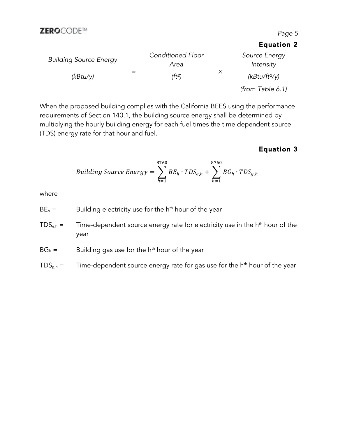|                               |                                  | <b>Equation 2</b>          |
|-------------------------------|----------------------------------|----------------------------|
| <b>Building Source Energy</b> | <b>Conditioned Floor</b><br>Area | Source Energy<br>Intensity |
| (kBtu/y)                      | (ft <sup>2</sup> )               | $(kBtu/ft^2/y)$            |
|                               |                                  | (from Table $6.1$ )        |

When the proposed building complies with the California BEES using the performance requirements of Section 140.1, the building source energy shall be determined by multiplying the hourly building energy for each fuel times the time dependent source (TDS) energy rate for that hour and fuel.

#### Equation 3

$$
Building\ Source\ Energy = \sum_{h=1}^{8760} BE_h \cdot TDS_{e,h} + \sum_{h=1}^{8760} BG_h \cdot TDS_{g,h}
$$

where

- $BE<sub>h</sub> =$  Building electricity use for the h<sup>th</sup> hour of the year
- $TDS<sub>e,h</sub>$  = Time-dependent source energy rate for electricity use in the  $h<sup>th</sup>$  hour of the year

 $BG_h =$  Building gas use for the h<sup>th</sup> hour of the year

 $TDS_{g,h}$  = Time-dependent source energy rate for gas use for the h<sup>th</sup> hour of the year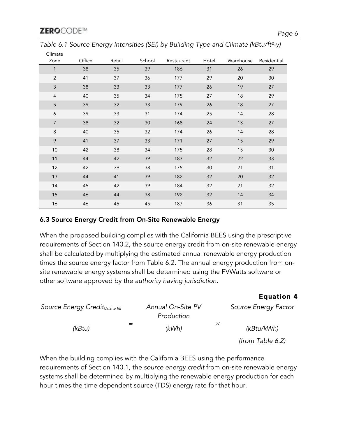| Climate<br>Zone  | Office | Retail | School | Restaurant | Hotel | Warehouse | Residential |
|------------------|--------|--------|--------|------------|-------|-----------|-------------|
| $\mathbf{1}$     | 38     | 35     | 39     | 186        | 31    | 26        | 29          |
| $\overline{2}$   | 41     | 37     | 36     | 177        | 29    | 20        | 30          |
| $\mathsf 3$      | 38     | 33     | 33     | 177        | 26    | 19        | 27          |
| $\overline{4}$   | 40     | 35     | 34     | 175        | 27    | 18        | 29          |
| 5                | 39     | 32     | 33     | 179        | 26    | 18        | 27          |
| $\boldsymbol{6}$ | 39     | 33     | 31     | 174        | 25    | 14        | 28          |
| $\overline{7}$   | 38     | 32     | 30     | 168        | 24    | 13        | 27          |
| $\,8\,$          | 40     | 35     | 32     | 174        | 26    | 14        | 28          |
| 9                | 41     | 37     | 33     | 171        | 27    | 15        | 29          |
| 10               | 42     | 38     | 34     | 175        | 28    | 15        | 30          |
| 11               | 44     | 42     | 39     | 183        | 32    | 22        | 33          |
| 12               | 42     | 39     | 38     | 175        | 30    | 21        | 31          |
| 13               | 44     | 41     | 39     | 182        | 32    | 20        | 32          |
| 14               | 45     | 42     | 39     | 184        | 32    | 21        | 32          |
| 15               | 46     | 44     | 38     | 192        | 32    | 14        | 34          |
| 16               | 46     | 45     | 45     | 187        | 36    | 31        | 35          |

*Table 6.1 Source Energy Intensities (SEI) by Building Type and Climate (kBtu/ft*²*-y)*

#### 6.3 Source Energy Credit from On-Site Renewable Energy

When the proposed building complies with the California BEES using the prescriptive requirements of Section 140.2, the source energy credit from on-site renewable energy shall be calculated by multiplying the estimated annual renewable energy production times the source energy factor from Table 6.2. The annual energy production from onsite renewable energy systems shall be determined using the PVWatts software or other software approved by the *authority having jurisdiction*.

| Source Energy Credit <sub>OnSite RE</sub> | Annual On-Site PV<br>Production | Source Energy Factor |
|-------------------------------------------|---------------------------------|----------------------|
| (kBtu)                                    | (kWh)                           | (kBtu/kWh)           |
|                                           |                                 | (from Table 6.2)     |

When the building complies with the California BEES using the performance requirements of Section 140.1, the *source energy credit* from on-site renewable energy systems shall be determined by multiplying the renewable energy production for each hour times the time dependent source (TDS) energy rate for that hour.

Equation 4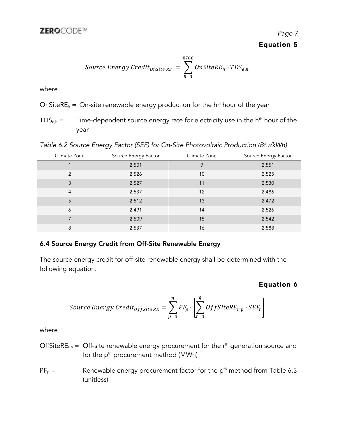#### Equation 5

Source Energy Credit<sub>onsite RE</sub> = 
$$
\sum_{h=1}^{8760} OnSiteRE_h \cdot TDS_{e,h}
$$

where

OnSiteRE<sub>h</sub> = On-site renewable energy production for the h<sup>th</sup> hour of the year

 $TDS<sub>e,h</sub>$  = Time-dependent source energy rate for electricity use in the  $h<sup>th</sup>$  hour of the year

*Table 6.2 Source Energy Factor (SEF) for On-Site Photovoltaic Production (Btu/kWh)*

| Climate Zone   | Source Energy Factor | Climate Zone | Source Energy Factor |
|----------------|----------------------|--------------|----------------------|
|                | 2,501                | 9            | 2,551                |
| $\mathcal{P}$  | 2,526                | 10           | 2,525                |
| 3              | 2,527                | 11           | 2,530                |
| $\overline{4}$ | 2,537                | 12           | 2,486                |
| 5              | 2,512                | 13           | 2,472                |
| 6              | 2,491                | 14           | 2,526                |
|                | 2,509                | 15           | 2,542                |
| 8              | 2,537                | 16           | 2,588                |

#### 6.4 Source Energy Credit from Off-Site Renewable Energy

The source energy credit for off-site renewable energy shall be determined with the following equation.

#### Equation 6

Source Energy Credit<sub>offsite RE</sub> = 
$$
\sum_{p=1}^{n} PF_p \cdot \left[ \sum_{r=1}^{q} OffSiteRE_{r,p} \cdot SEF_r \right]
$$

where

- OffSiteRE<sub>r,p</sub> = Off-site renewable energy procurement for the  $r<sup>th</sup>$  generation source and for the p<sup>th</sup> procurement method (MWh)
- $PF_p =$  Renewable energy procurement factor for the p<sup>th</sup> method from Table 6.3 (unitless)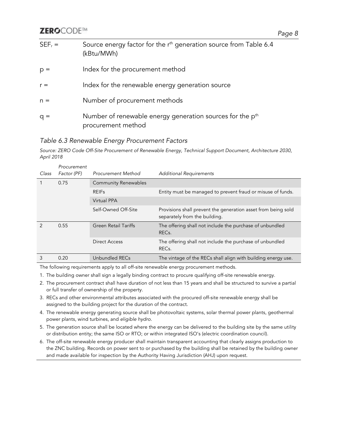#### **ZEROCODE™**

| $SEF_r =$ | Source energy factor for the r <sup>th</sup> generation source from Table 6.4<br>(kBtu/MWh) |
|-----------|---------------------------------------------------------------------------------------------|
| $p =$     | Index for the procurement method                                                            |
| $r =$     | Index for the renewable energy generation source                                            |
| $n =$     | Number of procurement methods                                                               |
| $q =$     | Number of renewable energy generation sources for the p <sup>th</sup><br>procurement method |

#### *Table 6.3 Renewable Energy Procurement Factors*

*Source: ZERO Code Off-Site Procurement of Renewable Energy, Technical Support Document, Architecture 2030, April 2018* 

| Class         | Procurement<br>Factor (PF) | <b>Procurement Method</b>   | <b>Additional Requirements</b>                                                                 |
|---------------|----------------------------|-----------------------------|------------------------------------------------------------------------------------------------|
|               |                            |                             |                                                                                                |
|               | 0.75                       | <b>Community Renewables</b> |                                                                                                |
|               |                            | <b>REIFs</b>                | Entity must be managed to prevent fraud or misuse of funds.                                    |
|               |                            | <b>Virtual PPA</b>          |                                                                                                |
|               |                            | Self-Owned Off-Site         | Provisions shall prevent the generation asset from being sold<br>separately from the building. |
| $\mathcal{P}$ | 0.55                       | <b>Green Retail Tariffs</b> | The offering shall not include the purchase of unbundled<br>REC <sub>s</sub> .                 |
|               |                            | Direct Access               | The offering shall not include the purchase of unbundled<br>REC <sub>s</sub> .                 |
| 3             | 0.20                       | Unbundled RECs              | The vintage of the RECs shall align with building energy use.                                  |

The following requirements apply to all off-site renewable energy procurement methods.

- 1. The building owner shall sign a legally binding contract to procure qualifying off-site renewable energy.
- 2. The procurement contract shall have duration of not less than 15 years and shall be structured to survive a partial or full transfer of ownership of the property.
- 3. RECs and other environmental attributes associated with the procured off-site renewable energy shall be assigned to the building project for the duration of the contract.
- 4. The renewable energy generating source shall be photovoltaic systems, solar thermal power plants, geothermal power plants, wind turbines, and *eligible hydro*.
- 5. The generation source shall be located where the energy can be delivered to the building site by the same utility or distribution entity; the same ISO or RTO; or within integrated ISO's (electric coordination council).
- 6. The off-site renewable energy producer shall maintain transparent accounting that clearly assigns production to the ZNC building. Records on power sent to or purchased by the building shall be retained by the building owner and made available for inspection by the Authority Having Jurisdiction (AHJ) upon request.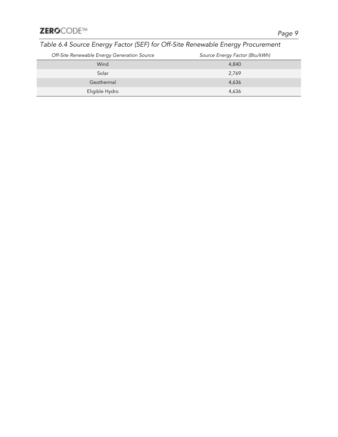### *Table 6.4 Source Energy Factor (SEF) for Off-Site Renewable Energy Procurement*

| Off-Site Renewable Energy Generation Source | Source Energy Factor (Btu/kWh) |
|---------------------------------------------|--------------------------------|
| Wind                                        | 4,840                          |
| Solar                                       | 2,769                          |
| Geothermal                                  | 4,636                          |
| Eligible Hydro                              | 4,636                          |